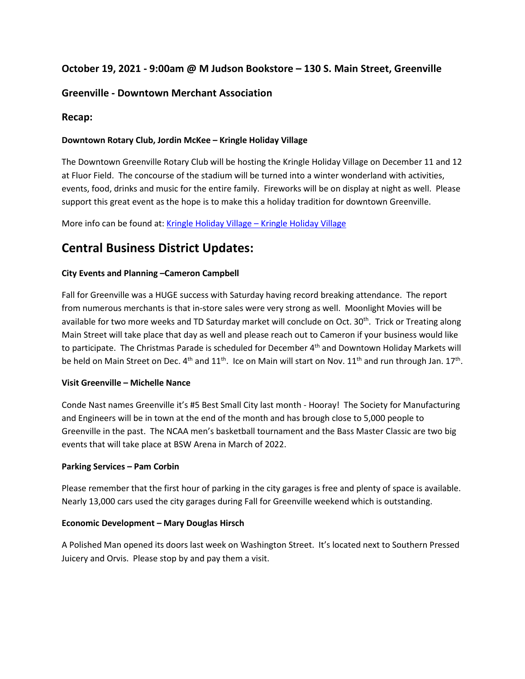# **October 19, 2021 - 9:00am @ M Judson Bookstore – 130 S. Main Street, Greenville**

## **Greenville - Downtown Merchant Association**

## **Recap:**

## **Downtown Rotary Club, Jordin McKee – Kringle Holiday Village**

The Downtown Greenville Rotary Club will be hosting the Kringle Holiday Village on December 11 and 12 at Fluor Field. The concourse of the stadium will be turned into a winter wonderland with activities, events, food, drinks and music for the entire family. Fireworks will be on display at night as well. Please support this great event as the hope is to make this a holiday tradition for downtown Greenville.

More info can be found at: [Kringle Holiday Village –](https://kringleholidayvillage.com/) Kringle Holiday Village

# **Central Business District Updates:**

### **City Events and Planning –Cameron Campbell**

Fall for Greenville was a HUGE success with Saturday having record breaking attendance. The report from numerous merchants is that in-store sales were very strong as well. Moonlight Movies will be available for two more weeks and TD Saturday market will conclude on Oct. 30<sup>th</sup>. Trick or Treating along Main Street will take place that day as well and please reach out to Cameron if your business would like to participate. The Christmas Parade is scheduled for December 4<sup>th</sup> and Downtown Holiday Markets will be held on Main Street on Dec. 4<sup>th</sup> and 11<sup>th</sup>. Ice on Main will start on Nov. 11<sup>th</sup> and run through Jan. 17<sup>th</sup>.

#### **Visit Greenville – Michelle Nance**

Conde Nast names Greenville it's #5 Best Small City last month - Hooray! The Society for Manufacturing and Engineers will be in town at the end of the month and has brough close to 5,000 people to Greenville in the past. The NCAA men's basketball tournament and the Bass Master Classic are two big events that will take place at BSW Arena in March of 2022.

#### **Parking Services – Pam Corbin**

Please remember that the first hour of parking in the city garages is free and plenty of space is available. Nearly 13,000 cars used the city garages during Fall for Greenville weekend which is outstanding.

#### **Economic Development – Mary Douglas Hirsch**

A Polished Man opened its doors last week on Washington Street. It's located next to Southern Pressed Juicery and Orvis. Please stop by and pay them a visit.